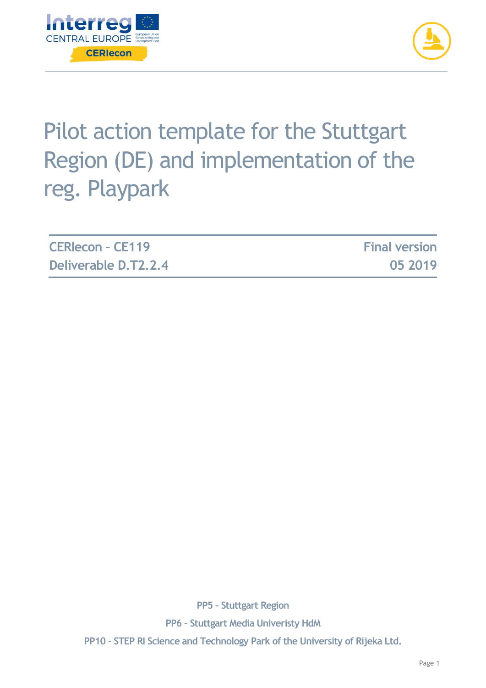



# Pilot action template for the Stuttgart Region (DE) and implementation of the reg. Playpark

| <b>CERIecon - CE119</b> | <b>Final version</b> |
|-------------------------|----------------------|
| Deliverable D.T2.2.4    | 05 2019              |

**PP5 – Stuttgart Region PP6 – Stuttgart Media Univeristy HdM PP10 - STEP RI Science and Technology Park of the University of Rijeka Ltd.**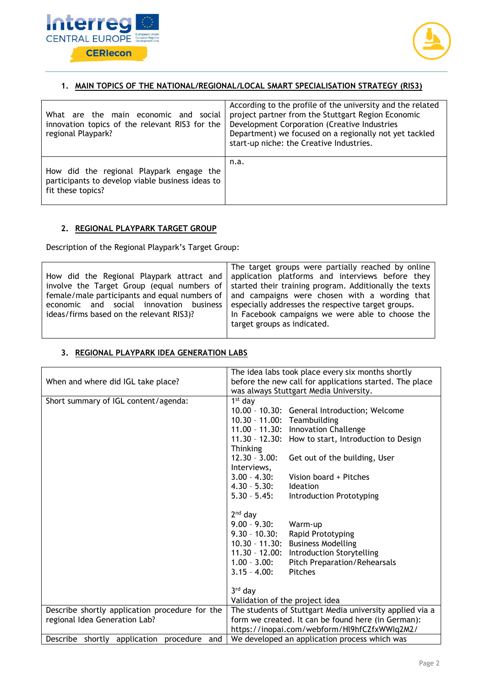



#### **1. MAIN TOPICS OF THE NATIONAL/REGIONAL/LOCAL SMART SPECIALISATION STRATEGY (RIS3)**

| What are the main economic and social<br>innovation topics of the relevant RIS3 for the<br>regional Playpark?     | According to the profile of the university and the related<br>project partner from the Stuttgart Region Economic<br>Development Corporation (Creative Industries<br>Department) we focused on a regionally not yet tackled<br>start-up niche: the Creative Industries. |
|-------------------------------------------------------------------------------------------------------------------|------------------------------------------------------------------------------------------------------------------------------------------------------------------------------------------------------------------------------------------------------------------------|
| How did the regional Playpark engage the<br>participants to develop viable business ideas to<br>fit these topics? | n.a.                                                                                                                                                                                                                                                                   |

#### **2. REGIONAL PLAYPARK TARGET GROUP**

Description of the Regional Playpark's Target Group:

| economic and social innovation business<br>ideas/firms based on the relevant RIS3)? | The target groups were partially reached by online<br>How did the Regional Playpark attract and application platforms and interviews before they<br>involve the Target Group (equal numbers of   started their training program. Additionally the texts<br>female/male participants and equal numbers of   and campaigns were chosen with a wording that<br>especially addresses the respective target groups.<br>In Facebook campaigns we were able to choose the |
|-------------------------------------------------------------------------------------|--------------------------------------------------------------------------------------------------------------------------------------------------------------------------------------------------------------------------------------------------------------------------------------------------------------------------------------------------------------------------------------------------------------------------------------------------------------------|
|                                                                                     | target groups as indicated.                                                                                                                                                                                                                                                                                                                                                                                                                                        |

### **3. REGIONAL PLAYPARK IDEA GENERATION LABS**

|                                                | The idea labs took place every six months shortly        |
|------------------------------------------------|----------------------------------------------------------|
| When and where did IGL take place?             | before the new call for applications started. The place  |
|                                                | was always Stuttgart Media University.                   |
| Short summary of IGL content/agenda:           | $1st$ day                                                |
|                                                | 10.00 - 10.30: General Introduction; Welcome             |
|                                                | 10.30 - 11.00: Teambuilding                              |
|                                                | 11.00 - 11.30: Innovation Challenge                      |
|                                                | 11.30 - 12.30: How to start, Introduction to Design      |
|                                                | <b>Thinking</b>                                          |
|                                                | $12.30 - 3.00:$<br>Get out of the building, User         |
|                                                | Interviews,                                              |
|                                                | $3.00 - 4.30:$<br>Vision board + Pitches                 |
|                                                | $4.30 - 5.30:$<br><b>Ideation</b>                        |
|                                                | $5.30 - 5.45$ :<br><b>Introduction Prototyping</b>       |
|                                                |                                                          |
|                                                | $2nd$ day                                                |
|                                                | $9.00 - 9.30:$<br>Warm-up                                |
|                                                | $9.30 - 10.30:$<br>Rapid Prototyping                     |
|                                                | 10.30 - 11.30: Business Modelling                        |
|                                                | <b>Introduction Storytelling</b><br>$11.30 - 12.00$ :    |
|                                                | $1.00 - 3.00:$<br>Pitch Preparation/Rehearsals           |
|                                                | Pitches<br>$3.15 - 4.00$ :                               |
|                                                |                                                          |
|                                                | 3rd day                                                  |
|                                                | Validation of the project idea                           |
| Describe shortly application procedure for the | The students of Stuttgart Media university applied via a |
| regional Idea Generation Lab?                  | form we created. It can be found here (in German):       |
|                                                | https://inopai.com/webform/Hl9hfCZfxWWIq2M2/             |
| Describe shortly application procedure<br>and  | We developed an application process which was            |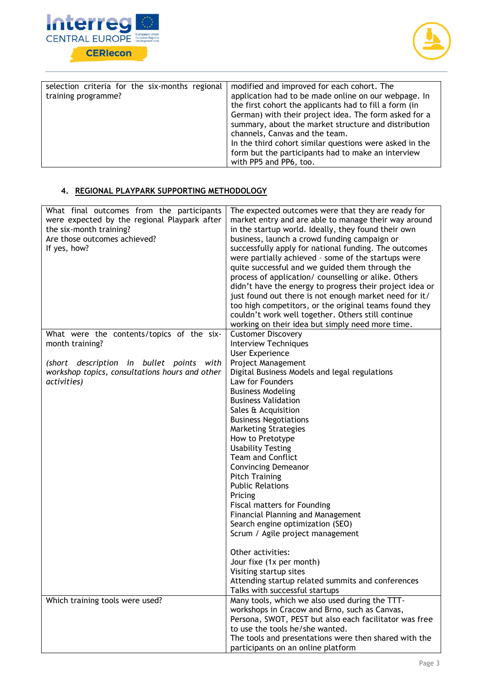



| selection criteria for the six-months regional<br>training programme? | modified and improved for each cohort. The<br>application had to be made online on our webpage. In<br>the first cohort the applicants had to fill a form (in<br>German) with their project idea. The form asked for a<br>summary, about the market structure and distribution<br>channels, Canvas and the team.<br>In the third cohort similar questions were asked in the<br>form but the participants had to make an interview<br>with PP5 and PP6, too. |
|-----------------------------------------------------------------------|------------------------------------------------------------------------------------------------------------------------------------------------------------------------------------------------------------------------------------------------------------------------------------------------------------------------------------------------------------------------------------------------------------------------------------------------------------|
|-----------------------------------------------------------------------|------------------------------------------------------------------------------------------------------------------------------------------------------------------------------------------------------------------------------------------------------------------------------------------------------------------------------------------------------------------------------------------------------------------------------------------------------------|

## **4. REGIONAL PLAYPARK SUPPORTING METHODOLOGY**

| What final outcomes from the participants<br>were expected by the regional Playpark after<br>the six-month training?<br>Are those outcomes achieved?<br>If yes, how? | The expected outcomes were that they are ready for<br>market entry and are able to manage their way around<br>in the startup world. Ideally, they found their own<br>business, launch a crowd funding campaign or<br>successfully apply for national funding. The outcomes<br>were partially achieved - some of the startups were<br>quite successful and we guided them through the<br>process of application/ counselling or alike. Others<br>didn't have the energy to progress their project idea or<br>just found out there is not enough market need for it/ |
|----------------------------------------------------------------------------------------------------------------------------------------------------------------------|--------------------------------------------------------------------------------------------------------------------------------------------------------------------------------------------------------------------------------------------------------------------------------------------------------------------------------------------------------------------------------------------------------------------------------------------------------------------------------------------------------------------------------------------------------------------|
|                                                                                                                                                                      | too high competitors, or the original teams found they<br>couldn't work well together. Others still continue<br>working on their idea but simply need more time.                                                                                                                                                                                                                                                                                                                                                                                                   |
| What were the contents/topics of the six-                                                                                                                            | <b>Customer Discovery</b>                                                                                                                                                                                                                                                                                                                                                                                                                                                                                                                                          |
| month training?                                                                                                                                                      |                                                                                                                                                                                                                                                                                                                                                                                                                                                                                                                                                                    |
|                                                                                                                                                                      | <b>Interview Techniques</b>                                                                                                                                                                                                                                                                                                                                                                                                                                                                                                                                        |
|                                                                                                                                                                      | <b>User Experience</b>                                                                                                                                                                                                                                                                                                                                                                                                                                                                                                                                             |
| (short description in bullet points<br>with                                                                                                                          | Project Management                                                                                                                                                                                                                                                                                                                                                                                                                                                                                                                                                 |
| workshop topics, consultations hours and other<br>activities)                                                                                                        | Digital Business Models and legal regulations<br>Law for Founders                                                                                                                                                                                                                                                                                                                                                                                                                                                                                                  |
|                                                                                                                                                                      | <b>Business Modeling</b>                                                                                                                                                                                                                                                                                                                                                                                                                                                                                                                                           |
|                                                                                                                                                                      | <b>Business Validation</b>                                                                                                                                                                                                                                                                                                                                                                                                                                                                                                                                         |
|                                                                                                                                                                      | Sales & Acquisition                                                                                                                                                                                                                                                                                                                                                                                                                                                                                                                                                |
|                                                                                                                                                                      | <b>Business Negotiations</b>                                                                                                                                                                                                                                                                                                                                                                                                                                                                                                                                       |
|                                                                                                                                                                      | <b>Marketing Strategies</b>                                                                                                                                                                                                                                                                                                                                                                                                                                                                                                                                        |
|                                                                                                                                                                      |                                                                                                                                                                                                                                                                                                                                                                                                                                                                                                                                                                    |
|                                                                                                                                                                      | How to Pretotype                                                                                                                                                                                                                                                                                                                                                                                                                                                                                                                                                   |
|                                                                                                                                                                      | <b>Usability Testing</b><br><b>Team and Conflict</b>                                                                                                                                                                                                                                                                                                                                                                                                                                                                                                               |
|                                                                                                                                                                      |                                                                                                                                                                                                                                                                                                                                                                                                                                                                                                                                                                    |
|                                                                                                                                                                      | <b>Convincing Demeanor</b>                                                                                                                                                                                                                                                                                                                                                                                                                                                                                                                                         |
|                                                                                                                                                                      | <b>Pitch Training</b>                                                                                                                                                                                                                                                                                                                                                                                                                                                                                                                                              |
|                                                                                                                                                                      | <b>Public Relations</b>                                                                                                                                                                                                                                                                                                                                                                                                                                                                                                                                            |
|                                                                                                                                                                      | Pricing                                                                                                                                                                                                                                                                                                                                                                                                                                                                                                                                                            |
|                                                                                                                                                                      | Fiscal matters for Founding                                                                                                                                                                                                                                                                                                                                                                                                                                                                                                                                        |
|                                                                                                                                                                      | <b>Financial Planning and Management</b>                                                                                                                                                                                                                                                                                                                                                                                                                                                                                                                           |
|                                                                                                                                                                      | Search engine optimization (SEO)                                                                                                                                                                                                                                                                                                                                                                                                                                                                                                                                   |
|                                                                                                                                                                      | Scrum / Agile project management                                                                                                                                                                                                                                                                                                                                                                                                                                                                                                                                   |
|                                                                                                                                                                      | Other activities:                                                                                                                                                                                                                                                                                                                                                                                                                                                                                                                                                  |
|                                                                                                                                                                      | Jour fixe (1x per month)                                                                                                                                                                                                                                                                                                                                                                                                                                                                                                                                           |
|                                                                                                                                                                      | Visiting startup sites                                                                                                                                                                                                                                                                                                                                                                                                                                                                                                                                             |
|                                                                                                                                                                      | Attending startup related summits and conferences                                                                                                                                                                                                                                                                                                                                                                                                                                                                                                                  |
|                                                                                                                                                                      | Talks with successful startups                                                                                                                                                                                                                                                                                                                                                                                                                                                                                                                                     |
| Which training tools were used?                                                                                                                                      | Many tools, which we also used during the TTT-                                                                                                                                                                                                                                                                                                                                                                                                                                                                                                                     |
|                                                                                                                                                                      | workshops in Cracow and Brno, such as Canvas,                                                                                                                                                                                                                                                                                                                                                                                                                                                                                                                      |
|                                                                                                                                                                      | Persona, SWOT, PEST but also each facilitator was free                                                                                                                                                                                                                                                                                                                                                                                                                                                                                                             |
|                                                                                                                                                                      | to use the tools he/she wanted.                                                                                                                                                                                                                                                                                                                                                                                                                                                                                                                                    |
|                                                                                                                                                                      | The tools and presentations were then shared with the                                                                                                                                                                                                                                                                                                                                                                                                                                                                                                              |
|                                                                                                                                                                      | participants on an online platform                                                                                                                                                                                                                                                                                                                                                                                                                                                                                                                                 |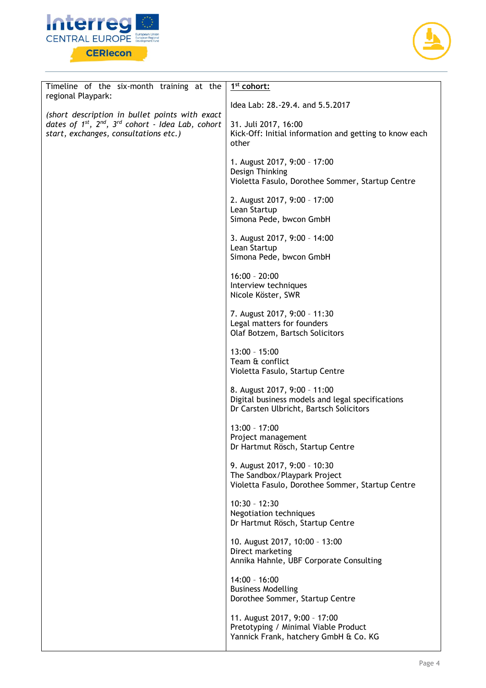



| Timeline of the six-month training at the<br>regional Playpark:                                                                                              | 1 <sup>st</sup> cohort:                                                                                                     |
|--------------------------------------------------------------------------------------------------------------------------------------------------------------|-----------------------------------------------------------------------------------------------------------------------------|
|                                                                                                                                                              | Idea Lab: 28.-29.4. and 5.5.2017                                                                                            |
| (short description in bullet points with exact<br>dates of $1^{st}$ , $2^{nd}$ , $3^{rd}$ cohort - Idea Lab, cohort<br>start, exchanges, consultations etc.) | 31. Juli 2017, 16:00<br>Kick-Off: Initial information and getting to know each<br>other                                     |
|                                                                                                                                                              | 1. August 2017, 9:00 - 17:00<br>Design Thinking<br>Violetta Fasulo, Dorothee Sommer, Startup Centre                         |
|                                                                                                                                                              | 2. August 2017, 9:00 - 17:00<br>Lean Startup<br>Simona Pede, bwcon GmbH                                                     |
|                                                                                                                                                              | 3. August 2017, 9:00 - 14:00<br>Lean Startup<br>Simona Pede, bwcon GmbH                                                     |
|                                                                                                                                                              | $16:00 - 20:00$<br>Interview techniques<br>Nicole Köster, SWR                                                               |
|                                                                                                                                                              | 7. August 2017, 9:00 - 11:30<br>Legal matters for founders<br>Olaf Botzem, Bartsch Solicitors                               |
|                                                                                                                                                              | $13:00 - 15:00$<br>Team & conflict<br>Violetta Fasulo, Startup Centre                                                       |
|                                                                                                                                                              | 8. August 2017, 9:00 - 11:00<br>Digital business models and legal specifications<br>Dr Carsten Ulbricht, Bartsch Solicitors |
|                                                                                                                                                              | $13:00 - 17:00$<br>Project management<br>Dr Hartmut Rösch, Startup Centre                                                   |
|                                                                                                                                                              | 9. August 2017, 9:00 - 10:30<br>The Sandbox/Playpark Project<br>Violetta Fasulo, Dorothee Sommer, Startup Centre            |
|                                                                                                                                                              | $10:30 - 12:30$<br><b>Negotiation techniques</b><br>Dr Hartmut Rösch, Startup Centre                                        |
|                                                                                                                                                              | 10. August 2017, 10:00 - 13:00<br>Direct marketing<br>Annika Hahnle, UBF Corporate Consulting                               |
|                                                                                                                                                              | $14:00 - 16:00$<br><b>Business Modelling</b><br>Dorothee Sommer, Startup Centre                                             |
|                                                                                                                                                              | 11. August 2017, 9:00 - 17:00<br>Pretotyping / Minimal Viable Product<br>Yannick Frank, hatchery GmbH & Co. KG              |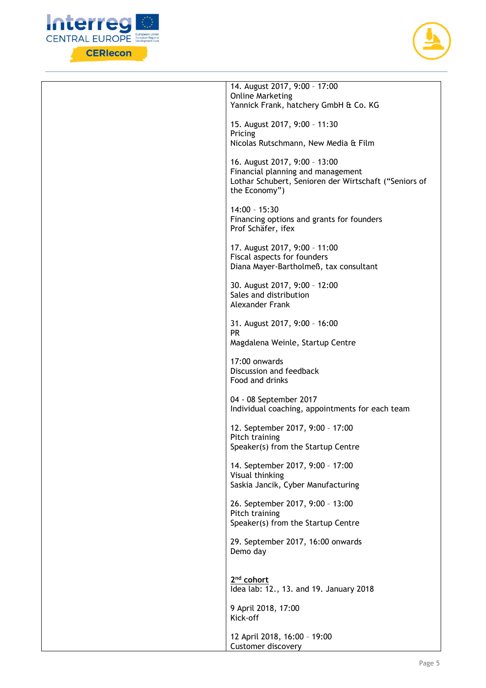



| 14. August 2017, 9:00 - 17:00<br><b>Online Marketing</b>                                                                                     |
|----------------------------------------------------------------------------------------------------------------------------------------------|
| Yannick Frank, hatchery GmbH & Co. KG                                                                                                        |
| 15. August 2017, 9:00 - 11:30<br>Pricing                                                                                                     |
| Nicolas Rutschmann, New Media & Film                                                                                                         |
| 16. August 2017, 9:00 - 13:00<br>Financial planning and management<br>Lothar Schubert, Senioren der Wirtschaft ("Seniors of<br>the Economy") |
| $14:00 - 15:30$<br>Financing options and grants for founders<br>Prof Schäfer, ifex                                                           |
| 17. August 2017, 9:00 - 11:00<br>Fiscal aspects for founders<br>Diana Mayer-Bartholmeß, tax consultant                                       |
| 30. August 2017, 9:00 - 12:00<br>Sales and distribution<br>Alexander Frank                                                                   |
| 31. August 2017, 9:00 - 16:00<br><b>PR</b><br>Magdalena Weinle, Startup Centre                                                               |
| 17:00 onwards<br>Discussion and feedback<br>Food and drinks                                                                                  |
| 04 - 08 September 2017<br>Individual coaching, appointments for each team                                                                    |
| 12. September 2017, 9:00 - 17:00<br>Pitch training<br>Speaker(s) from the Startup Centre                                                     |
| 14. September 2017, 9:00 - 17:00<br>Visual thinking<br>Saskia Jancik, Cyber Manufacturing                                                    |
| 26. September 2017, 9:00 - 13:00<br>Pitch training<br>Speaker(s) from the Startup Centre                                                     |
| 29. September 2017, 16:00 onwards<br>Demo day                                                                                                |
| 2 <sup>nd</sup> cohort<br>Idea lab: 12., 13. and 19. January 2018                                                                            |
| 9 April 2018, 17:00<br>Kick-off                                                                                                              |
| 12 April 2018, 16:00 - 19:00<br>Customer discovery                                                                                           |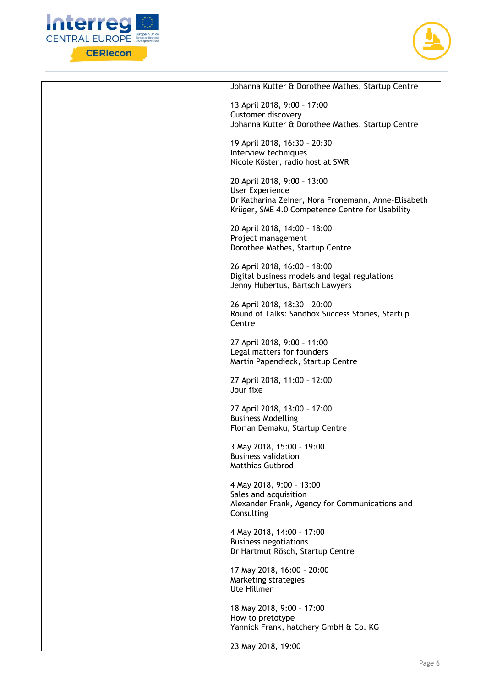



| Johanna Kutter & Dorothee Mathes, Startup Centre                              |
|-------------------------------------------------------------------------------|
| 13 April 2018, 9:00 - 17:00                                                   |
| Customer discovery<br>Johanna Kutter & Dorothee Mathes, Startup Centre        |
|                                                                               |
| 19 April 2018, 16:30 - 20:30<br>Interview techniques                          |
| Nicole Köster, radio host at SWR                                              |
| 20 April 2018, 9:00 - 13:00                                                   |
| User Experience                                                               |
| Dr Katharina Zeiner, Nora Fronemann, Anne-Elisabeth                           |
| Krüger, SME 4.0 Competence Centre for Usability                               |
| 20 April 2018, 14:00 - 18:00                                                  |
| Project management<br>Dorothee Mathes, Startup Centre                         |
|                                                                               |
| 26 April 2018, 16:00 - 18:00<br>Digital business models and legal regulations |
| Jenny Hubertus, Bartsch Lawyers                                               |
| 26 April 2018, 18:30 - 20:00                                                  |
| Round of Talks: Sandbox Success Stories, Startup                              |
| Centre                                                                        |
| 27 April 2018, 9:00 - 11:00                                                   |
| Legal matters for founders<br>Martin Papendieck, Startup Centre               |
|                                                                               |
| 27 April 2018, 11:00 - 12:00<br>Jour fixe                                     |
| 27 April 2018, 13:00 - 17:00                                                  |
| <b>Business Modelling</b>                                                     |
| Florian Demaku, Startup Centre                                                |
| 3 May 2018, 15:00 - 19:00                                                     |
| <b>Business validation</b><br><b>Matthias Gutbrod</b>                         |
|                                                                               |
| 4 May 2018, 9:00 - 13:00<br>Sales and acquisition                             |
| Alexander Frank, Agency for Communications and                                |
| Consulting                                                                    |
| 4 May 2018, 14:00 - 17:00                                                     |
| <b>Business negotiations</b><br>Dr Hartmut Rösch, Startup Centre              |
|                                                                               |
| 17 May 2018, 16:00 - 20:00<br>Marketing strategies                            |
| Ute Hillmer                                                                   |
| 18 May 2018, 9:00 - 17:00                                                     |
| How to pretotype                                                              |
| Yannick Frank, hatchery GmbH & Co. KG                                         |
| 23 May 2018, 19:00                                                            |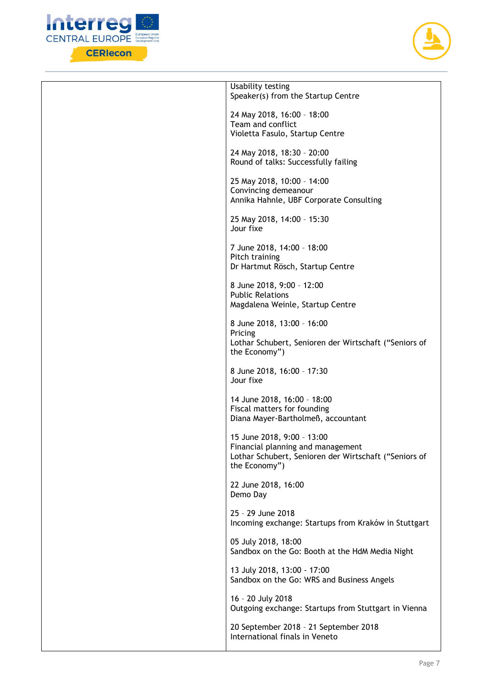



| Usability testing<br>Speaker(s) from the Startup Centre                                                                                   |
|-------------------------------------------------------------------------------------------------------------------------------------------|
| 24 May 2018, 16:00 - 18:00<br>Team and conflict                                                                                           |
| Violetta Fasulo, Startup Centre                                                                                                           |
| 24 May 2018, 18:30 - 20:00<br>Round of talks: Successfully failing                                                                        |
| 25 May 2018, 10:00 - 14:00<br>Convincing demeanour<br>Annika Hahnle, UBF Corporate Consulting                                             |
| 25 May 2018, 14:00 - 15:30<br>Jour fixe                                                                                                   |
| 7 June 2018, 14:00 - 18:00<br>Pitch training<br>Dr Hartmut Rösch, Startup Centre                                                          |
| 8 June 2018, 9:00 - 12:00<br><b>Public Relations</b><br>Magdalena Weinle, Startup Centre                                                  |
| 8 June 2018, 13:00 - 16:00<br>Pricing<br>Lothar Schubert, Senioren der Wirtschaft ("Seniors of<br>the Economy")                           |
| 8 June 2018, 16:00 - 17:30<br>Jour fixe                                                                                                   |
| 14 June 2018, 16:00 - 18:00<br>Fiscal matters for founding<br>Diana Mayer-Bartholmeß, accountant                                          |
| 15 June 2018, 9:00 - 13:00<br>Financial planning and management<br>Lothar Schubert, Senioren der Wirtschaft ("Seniors of<br>the Economy") |
| 22 June 2018, 16:00<br>Demo Day                                                                                                           |
| 25 - 29 June 2018<br>Incoming exchange: Startups from Kraków in Stuttgart                                                                 |
| 05 July 2018, 18:00<br>Sandbox on the Go: Booth at the HdM Media Night                                                                    |
| 13 July 2018, 13:00 - 17:00<br>Sandbox on the Go: WRS and Business Angels                                                                 |
| 16 - 20 July 2018<br>Outgoing exchange: Startups from Stuttgart in Vienna                                                                 |
| 20 September 2018 - 21 September 2018<br>International finals in Veneto                                                                   |
|                                                                                                                                           |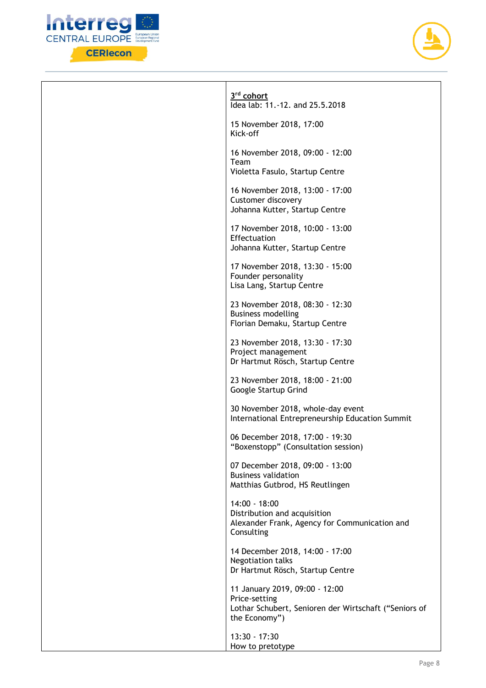



| 3rd cohort<br>Idea lab: 11.-12. and 25.5.2018                                                                             |
|---------------------------------------------------------------------------------------------------------------------------|
| 15 November 2018, 17:00<br>Kick-off                                                                                       |
| 16 November 2018, 09:00 - 12:00<br>Team<br>Violetta Fasulo, Startup Centre                                                |
| 16 November 2018, 13:00 - 17:00<br><b>Customer discovery</b><br>Johanna Kutter, Startup Centre                            |
| 17 November 2018, 10:00 - 13:00<br>Effectuation<br>Johanna Kutter, Startup Centre                                         |
| 17 November 2018, 13:30 - 15:00<br>Founder personality<br>Lisa Lang, Startup Centre                                       |
| 23 November 2018, 08:30 - 12:30<br><b>Business modelling</b><br>Florian Demaku, Startup Centre                            |
| 23 November 2018, 13:30 - 17:30<br>Project management<br>Dr Hartmut Rösch, Startup Centre                                 |
| 23 November 2018, 18:00 - 21:00<br>Google Startup Grind                                                                   |
| 30 November 2018, whole-day event<br>International Entrepreneurship Education Summit                                      |
| 06 December 2018, 17:00 - 19:30<br>"Boxenstopp" (Consultation session)                                                    |
| 07 December 2018, 09:00 - 13:00<br><b>Business validation</b><br>Matthias Gutbrod, HS Reutlingen                          |
| 14:00 - 18:00<br>Distribution and acquisition<br>Alexander Frank, Agency for Communication and<br>Consulting              |
| 14 December 2018, 14:00 - 17:00<br>Negotiation talks<br>Dr Hartmut Rösch, Startup Centre                                  |
| 11 January 2019, 09:00 - 12:00<br>Price-setting<br>Lothar Schubert, Senioren der Wirtschaft ("Seniors of<br>the Economy") |
| 13:30 - 17:30<br>How to pretotype                                                                                         |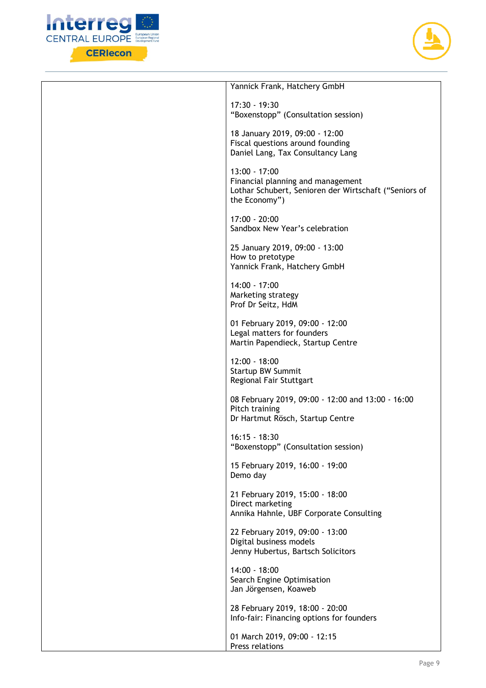



| Yannick Frank, Hatchery GmbH                                                                                                   |
|--------------------------------------------------------------------------------------------------------------------------------|
| 17:30 - 19:30<br>"Boxenstopp" (Consultation session)                                                                           |
| 18 January 2019, 09:00 - 12:00<br>Fiscal questions around founding<br>Daniel Lang, Tax Consultancy Lang                        |
| $13:00 - 17:00$<br>Financial planning and management<br>Lothar Schubert, Senioren der Wirtschaft ("Seniors of<br>the Economy") |
| $17:00 - 20:00$<br>Sandbox New Year's celebration                                                                              |
| 25 January 2019, 09:00 - 13:00<br>How to pretotype<br>Yannick Frank, Hatchery GmbH                                             |
| 14:00 - 17:00<br>Marketing strategy<br>Prof Dr Seitz, HdM                                                                      |
| 01 February 2019, 09:00 - 12:00<br>Legal matters for founders<br>Martin Papendieck, Startup Centre                             |
| $12:00 - 18:00$<br><b>Startup BW Summit</b><br>Regional Fair Stuttgart                                                         |
| 08 February 2019, 09:00 - 12:00 and 13:00 - 16:00<br>Pitch training<br>Dr Hartmut Rösch, Startup Centre                        |
| $16:15 - 18:30$<br>"Boxenstopp" (Consultation session)                                                                         |
| 15 February 2019, 16:00 - 19:00<br>Demo day                                                                                    |
| 21 February 2019, 15:00 - 18:00<br>Direct marketing<br>Annika Hahnle, UBF Corporate Consulting                                 |
| 22 February 2019, 09:00 - 13:00<br>Digital business models<br>Jenny Hubertus, Bartsch Solicitors                               |
| 14:00 - 18:00<br>Search Engine Optimisation<br>Jan Jörgensen, Koaweb                                                           |
| 28 February 2019, 18:00 - 20:00<br>Info-fair: Financing options for founders                                                   |
| 01 March 2019, 09:00 - 12:15<br>Press relations                                                                                |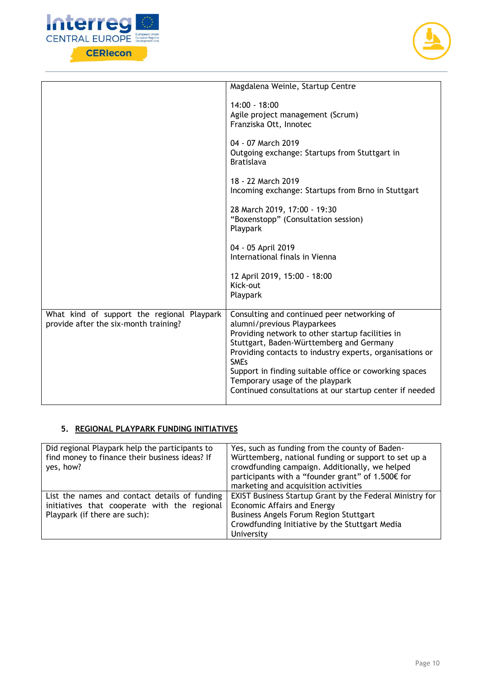



|                                                                                     | Magdalena Weinle, Startup Centre                                                                                                                                                                                                                                                                                                                                                                              |
|-------------------------------------------------------------------------------------|---------------------------------------------------------------------------------------------------------------------------------------------------------------------------------------------------------------------------------------------------------------------------------------------------------------------------------------------------------------------------------------------------------------|
|                                                                                     | $14:00 - 18:00$<br>Agile project management (Scrum)<br>Franziska Ott, Innotec                                                                                                                                                                                                                                                                                                                                 |
|                                                                                     | 04 - 07 March 2019<br>Outgoing exchange: Startups from Stuttgart in<br><b>Bratislava</b>                                                                                                                                                                                                                                                                                                                      |
|                                                                                     | 18 - 22 March 2019<br>Incoming exchange: Startups from Brno in Stuttgart                                                                                                                                                                                                                                                                                                                                      |
|                                                                                     | 28 March 2019, 17:00 - 19:30<br>"Boxenstopp" (Consultation session)<br>Playpark                                                                                                                                                                                                                                                                                                                               |
|                                                                                     | 04 - 05 April 2019<br>International finals in Vienna                                                                                                                                                                                                                                                                                                                                                          |
|                                                                                     | 12 April 2019, 15:00 - 18:00<br>Kick-out<br>Playpark                                                                                                                                                                                                                                                                                                                                                          |
| What kind of support the regional Playpark<br>provide after the six-month training? | Consulting and continued peer networking of<br>alumni/previous Playparkees<br>Providing network to other startup facilities in<br>Stuttgart, Baden-Württemberg and Germany<br>Providing contacts to industry experts, organisations or<br><b>SMEs</b><br>Support in finding suitable office or coworking spaces<br>Temporary usage of the playpark<br>Continued consultations at our startup center if needed |

## **5. REGIONAL PLAYPARK FUNDING INITIATIVES**

| Did regional Playpark help the participants to<br>find money to finance their business ideas? If<br>yes, how?                  | Yes, such as funding from the county of Baden-<br>Württemberg, national funding or support to set up a<br>crowdfunding campaign. Additionally, we helped<br>participants with a "founder grant" of 1.500€ for<br>marketing and acquisition activities |
|--------------------------------------------------------------------------------------------------------------------------------|-------------------------------------------------------------------------------------------------------------------------------------------------------------------------------------------------------------------------------------------------------|
| List the names and contact details of funding<br>initiatives that cooperate with the regional<br>Playpark (if there are such): | <b>EXIST Business Startup Grant by the Federal Ministry for</b><br>Economic Affairs and Energy<br><b>Business Angels Forum Region Stuttgart</b><br>Crowdfunding Initiative by the Stuttgart Media<br>University                                       |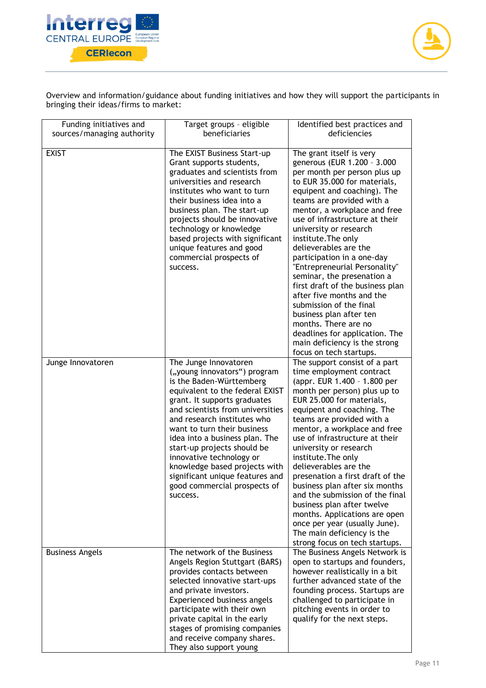



Overview and information/guidance about funding initiatives and how they will support the participants in bringing their ideas/firms to market:

| Funding initiatives and<br>sources/managing authority | Target groups - eligible<br>beneficiaries                                                                                                                                                                                                                                                                                                                                                                                                                           | Identified best practices and<br>deficiencies                                                                                                                                                                                                                                                                                                                                                                                                                                                                                                                                                                                                                             |
|-------------------------------------------------------|---------------------------------------------------------------------------------------------------------------------------------------------------------------------------------------------------------------------------------------------------------------------------------------------------------------------------------------------------------------------------------------------------------------------------------------------------------------------|---------------------------------------------------------------------------------------------------------------------------------------------------------------------------------------------------------------------------------------------------------------------------------------------------------------------------------------------------------------------------------------------------------------------------------------------------------------------------------------------------------------------------------------------------------------------------------------------------------------------------------------------------------------------------|
| <b>EXIST</b>                                          | The EXIST Business Start-up<br>Grant supports students,<br>graduates and scientists from<br>universities and research<br>institutes who want to turn<br>their business idea into a<br>business plan. The start-up<br>projects should be innovative<br>technology or knowledge<br>based projects with significant<br>unique features and good<br>commercial prospects of<br>success.                                                                                 | The grant itself is very<br>generous (EUR 1.200 - 3.000<br>per month per person plus up<br>to EUR 35.000 for materials,<br>equipent and coaching). The<br>teams are provided with a<br>mentor, a workplace and free<br>use of infrastructure at their<br>university or research<br>institute. The only<br>delieverables are the<br>participation in a one-day<br>"Entrepreneurial Personality"<br>seminar, the presenation a<br>first draft of the business plan<br>after five months and the<br>submission of the final<br>business plan after ten<br>months. There are no<br>deadlines for application. The<br>main deficiency is the strong<br>focus on tech startups. |
| Junge Innovatoren                                     | The Junge Innovatoren<br>("young innovators") program<br>is the Baden-Württemberg<br>equivalent to the federal EXIST<br>grant. It supports graduates<br>and scientists from universities<br>and research institutes who<br>want to turn their business<br>idea into a business plan. The<br>start-up projects should be<br>innovative technology or<br>knowledge based projects with<br>significant unique features and<br>good commercial prospects of<br>success. | The support consist of a part<br>time employment contract<br>(appr. EUR 1.400 - 1.800 per<br>month per person) plus up to<br>EUR 25.000 for materials,<br>equipent and coaching. The<br>teams are provided with a<br>mentor, a workplace and free<br>use of infrastructure at their<br>university or research<br>institute. The only<br>delieverables are the<br>presenation a first draft of the<br>business plan after six months<br>and the submission of the final<br>business plan after twelve<br>months. Applications are open<br>once per year (usually June).<br>The main deficiency is the<br>strong focus on tech startups.                                    |
| <b>Business Angels</b>                                | The network of the Business<br>Angels Region Stuttgart (BARS)<br>provides contacts between<br>selected innovative start-ups<br>and private investors.<br>Experienced business angels<br>participate with their own<br>private capital in the early<br>stages of promising companies<br>and receive company shares.<br>They also support young                                                                                                                       | The Business Angels Network is<br>open to startups and founders,<br>however realistically in a bit<br>further advanced state of the<br>founding process. Startups are<br>challenged to participate in<br>pitching events in order to<br>qualify for the next steps.                                                                                                                                                                                                                                                                                                                                                                                                       |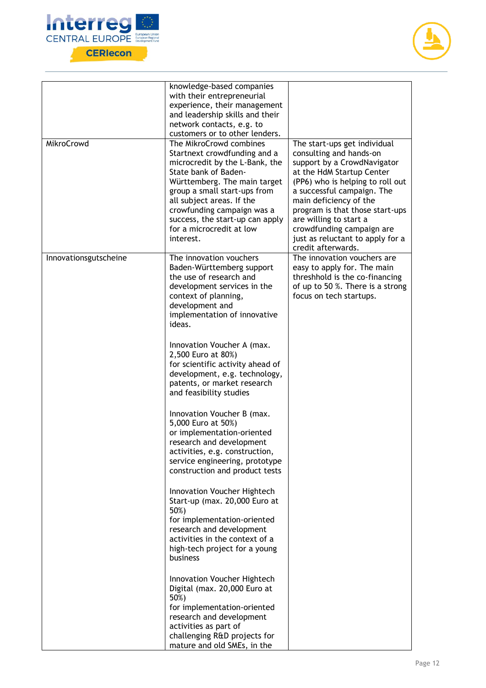



| MikroCrowd            | knowledge-based companies<br>with their entrepreneurial<br>experience, their management<br>and leadership skills and their<br>network contacts, e.g. to<br>customers or to other lenders.<br>The MikroCrowd combines<br>Startnext crowdfunding and a<br>microcredit by the L-Bank, the<br>State bank of Baden-<br>Württemberg. The main target<br>group a small start-ups from | The start-ups get individual<br>consulting and hands-on<br>support by a CrowdNavigator<br>at the HdM Startup Center<br>(PP6) who is helping to roll out<br>a successful campaign. The |
|-----------------------|--------------------------------------------------------------------------------------------------------------------------------------------------------------------------------------------------------------------------------------------------------------------------------------------------------------------------------------------------------------------------------|---------------------------------------------------------------------------------------------------------------------------------------------------------------------------------------|
|                       | all subject areas. If the<br>crowfunding campaign was a<br>success, the start-up can apply<br>for a microcredit at low<br>interest.                                                                                                                                                                                                                                            | main deficiency of the<br>program is that those start-ups<br>are willing to start a<br>crowdfunding campaign are<br>just as reluctant to apply for a<br>credit afterwards.            |
| Innovationsgutscheine | The innovation vouchers<br>Baden-Württemberg support<br>the use of research and<br>development services in the<br>context of planning,<br>development and<br>implementation of innovative<br>ideas.                                                                                                                                                                            | The innovation vouchers are<br>easy to apply for. The main<br>threshhold is the co-financing<br>of up to 50 %. There is a strong<br>focus on tech startups.                           |
|                       | Innovation Voucher A (max.<br>2,500 Euro at 80%)<br>for scientific activity ahead of<br>development, e.g. technology,<br>patents, or market research<br>and feasibility studies                                                                                                                                                                                                |                                                                                                                                                                                       |
|                       | Innovation Voucher B (max.<br>5,000 Euro at 50%)<br>or implementation-oriented<br>research and development<br>activities, e.g. construction,<br>service engineering, prototype<br>construction and product tests                                                                                                                                                               |                                                                                                                                                                                       |
|                       | Innovation Voucher Hightech<br>Start-up (max. 20,000 Euro at<br>50%)<br>for implementation-oriented<br>research and development<br>activities in the context of a<br>high-tech project for a young<br>business                                                                                                                                                                 |                                                                                                                                                                                       |
|                       | Innovation Voucher Hightech<br>Digital (max. 20,000 Euro at<br>50%)<br>for implementation-oriented<br>research and development<br>activities as part of<br>challenging R&D projects for<br>mature and old SMEs, in the                                                                                                                                                         |                                                                                                                                                                                       |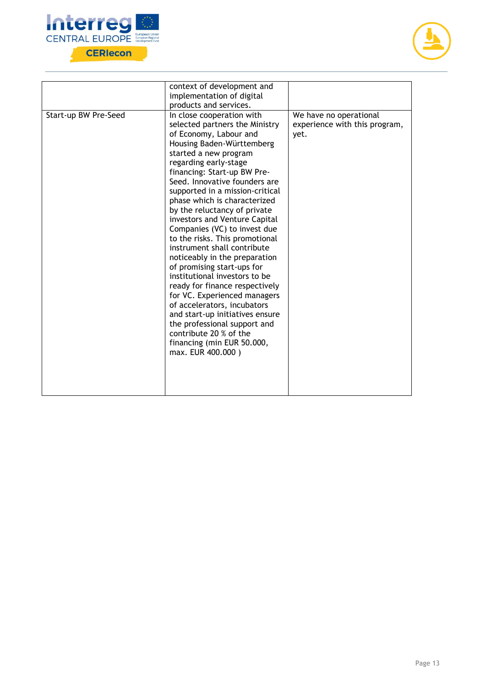



|                      | context of development and                                                                                                                                                                                                                                                                                                                                                                                                                                                                                                                                                                                                                                                                                                                                                                                                                           |                                                                 |
|----------------------|------------------------------------------------------------------------------------------------------------------------------------------------------------------------------------------------------------------------------------------------------------------------------------------------------------------------------------------------------------------------------------------------------------------------------------------------------------------------------------------------------------------------------------------------------------------------------------------------------------------------------------------------------------------------------------------------------------------------------------------------------------------------------------------------------------------------------------------------------|-----------------------------------------------------------------|
|                      | implementation of digital                                                                                                                                                                                                                                                                                                                                                                                                                                                                                                                                                                                                                                                                                                                                                                                                                            |                                                                 |
|                      |                                                                                                                                                                                                                                                                                                                                                                                                                                                                                                                                                                                                                                                                                                                                                                                                                                                      |                                                                 |
| Start-up BW Pre-Seed | products and services.<br>In close cooperation with<br>selected partners the Ministry<br>of Economy, Labour and<br>Housing Baden-Württemberg<br>started a new program<br>regarding early-stage<br>financing: Start-up BW Pre-<br>Seed. Innovative founders are<br>supported in a mission-critical<br>phase which is characterized<br>by the reluctancy of private<br>investors and Venture Capital<br>Companies (VC) to invest due<br>to the risks. This promotional<br>instrument shall contribute<br>noticeably in the preparation<br>of promising start-ups for<br>institutional investors to be<br>ready for finance respectively<br>for VC. Experienced managers<br>of accelerators, incubators<br>and start-up initiatives ensure<br>the professional support and<br>contribute 20 % of the<br>financing (min EUR 50.000,<br>max. EUR 400.000) | We have no operational<br>experience with this program,<br>yet. |
|                      |                                                                                                                                                                                                                                                                                                                                                                                                                                                                                                                                                                                                                                                                                                                                                                                                                                                      |                                                                 |